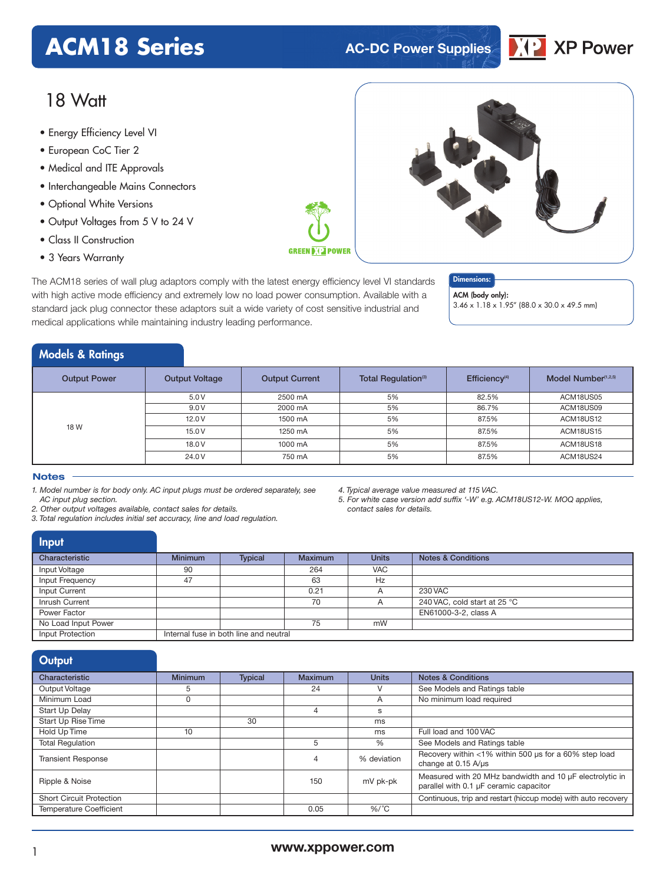# **ACM18 Series AC-DC Power Supplies**



# 18 Watt

- **xxx Series** Energy Efficiency Level VI
- European CoC Tier 2
- Medical and ITE Approvals
- Interchangeable Mains Connectors
- Optional White Versions
- Output Voltages from 5 V to 24 V
- Class II Construction
- 3 Years Warranty

The ACM18 series of wall plug adaptors comply with the latest energy efficiency level VI standards with high active mode efficiency and extremely low no load power consumption. Available with a standard jack plug connector these adaptors suit a wide variety of cost sensitive industrial and medical applications while maintaining industry leading performance.

### Dimensions:

ACM (body only): 3.46 x 1.18 x 1.95" (88.0 x 30.0 x 49.5 mm)

# Models & Ratings

| <b>Output Power</b> | <b>Output Voltage</b> | Total Regulation <sup>(3)</sup><br><b>Output Current</b> |    | Efficiency <sup>(4)</sup> | Model Number <sup>(1,2,5)</sup> |
|---------------------|-----------------------|----------------------------------------------------------|----|---------------------------|---------------------------------|
|                     | 5.0V                  | 2500 mA                                                  | 5% | 82.5%                     | ACM18US05                       |
| 18 W                | 9.0V                  | 2000 mA                                                  | 5% | 86.7%                     | ACM18US09                       |
|                     | 12.0V                 | 1500 mA                                                  | 5% | 87.5%                     | ACM18US12                       |
|                     | 15.0V                 | 1250 mA                                                  | 5% | 87.5%                     | ACM18US15                       |
|                     | 18.0 V                | 1000 mA                                                  | 5% | 87.5%                     | ACM18US18                       |
|                     | 24.0V                 | 750 mA                                                   | 5% | 87.5%                     | ACM18US24                       |

**GREEN DIE POWER** 

#### **Notes**

*1. Model number is for body only. AC input plugs must be ordered separately, see AC input plug section.*

*2. Other output voltages available, contact sales for details.*

*3. Total regulation includes initial set accuracy, line and load regulation.*

*4. Typical average value measured at 115 VAC.*

*5. For white case version add suffix '-W' e.g. ACM18US12-W. MOQ applies, contact sales for details.*

| <b>Input</b>        |                |                                        |                |              |                               |
|---------------------|----------------|----------------------------------------|----------------|--------------|-------------------------------|
| Characteristic      | <b>Minimum</b> | <b>Typical</b>                         | <b>Maximum</b> | <b>Units</b> | <b>Notes &amp; Conditions</b> |
| Input Voltage       | 90             |                                        | 264            | <b>VAC</b>   |                               |
| Input Frequency     | 47             |                                        | 63             | Hz           |                               |
| Input Current       |                |                                        | 0.21           |              | 230 VAC                       |
| Inrush Current      |                |                                        | 70             |              | 240 VAC, cold start at 25 °C  |
| Power Factor        |                |                                        |                |              | EN61000-3-2, class A          |
| No Load Input Power |                |                                        | 75             | mW           |                               |
| Input Protection    |                | Internal fuse in both line and neutral |                |              |                               |

| Output                          |                |                |         |              |                                                                                                    |
|---------------------------------|----------------|----------------|---------|--------------|----------------------------------------------------------------------------------------------------|
| Characteristic                  | <b>Minimum</b> | <b>Typical</b> | Maximum | <b>Units</b> | <b>Notes &amp; Conditions</b>                                                                      |
| Output Voltage                  | 5              |                | 24      | V            | See Models and Ratings table                                                                       |
| Minimum Load                    | 0              |                |         | A            | No minimum load required                                                                           |
| Start Up Delay                  |                |                | 4       | s            |                                                                                                    |
| Start Up Rise Time              |                | 30             |         | ms           |                                                                                                    |
| Hold Up Time                    | 10             |                |         | ms           | Full load and 100 VAC                                                                              |
| <b>Total Regulation</b>         |                |                | 5       | %            | See Models and Ratings table                                                                       |
| <b>Transient Response</b>       |                |                | 4       | % deviation  | Recovery within <1% within 500 us for a 60% step load<br>change at $0.15 \text{ A/}\mu\text{s}$    |
| Ripple & Noise                  |                |                | 150     | mV pk-pk     | Measured with 20 MHz bandwidth and 10 µF electrolytic in<br>parallel with 0.1 µF ceramic capacitor |
| <b>Short Circuit Protection</b> |                |                |         |              | Continuous, trip and restart (hiccup mode) with auto recovery                                      |
| <b>Temperature Coefficient</b>  |                |                | 0.05    | $%$ /°C      |                                                                                                    |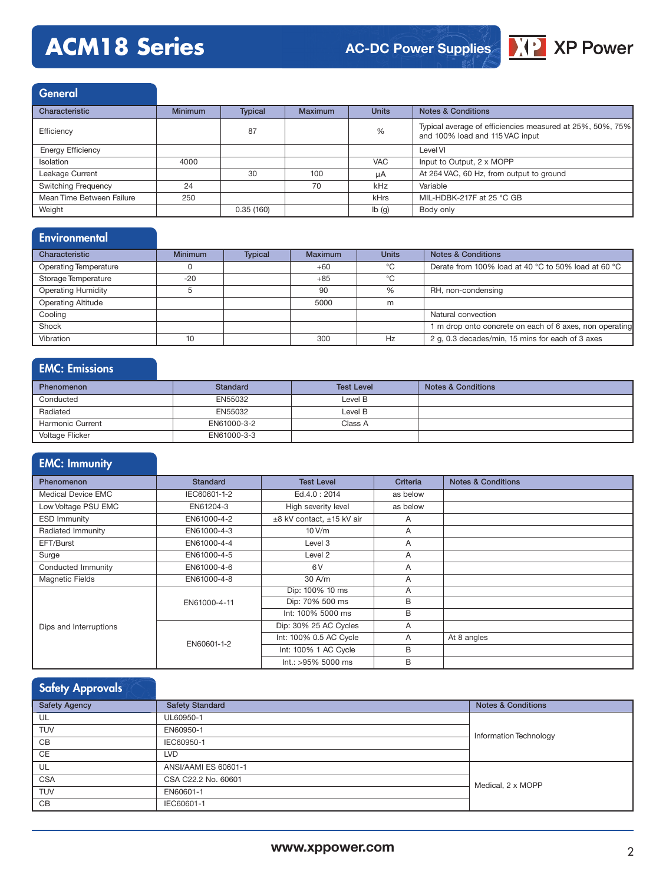# **ACM18 Series**

# **AC-DC Power Supplies**



**General** 

| Characteristic             | <b>Minimum</b> | <b>Typical</b> | <b>Maximum</b> | <b>Units</b> | <b>Notes &amp; Conditions</b>                                                                |
|----------------------------|----------------|----------------|----------------|--------------|----------------------------------------------------------------------------------------------|
| Efficiency                 |                | 87             |                | %            | Typical average of efficiencies measured at 25%, 50%, 75%<br>and 100% load and 115 VAC input |
| <b>Energy Efficiency</b>   |                |                |                |              | Level VI                                                                                     |
| Isolation                  | 4000           |                |                | <b>VAC</b>   | Input to Output, 2 x MOPP                                                                    |
| Leakage Current            |                | 30             | 100            | uA           | At 264 VAC, 60 Hz, from output to ground                                                     |
| <b>Switching Frequency</b> | 24             |                | 70             | kHz          | Variable                                                                                     |
| Mean Time Between Failure  | 250            |                |                | kHrs         | MIL-HDBK-217F at 25 °C GB                                                                    |
| Weight                     |                | 0.35(160)      |                | Ib(g)        | Body only                                                                                    |

# **Environmental**

| Characteristic               | <b>Minimum</b> | <b>Typical</b> | Maximum | <b>Units</b> | <b>Notes &amp; Conditions</b>                           |
|------------------------------|----------------|----------------|---------|--------------|---------------------------------------------------------|
| <b>Operating Temperature</b> |                |                | $+60$   | °C           | Derate from 100% load at 40 °C to 50% load at 60 °C     |
| Storage Temperature          | $-20$          |                | $+85$   | °C           |                                                         |
| <b>Operating Humidity</b>    |                |                | 90      | %            | RH, non-condensing                                      |
| <b>Operating Altitude</b>    |                |                | 5000    | m            |                                                         |
| Cooling                      |                |                |         |              | Natural convection                                      |
| Shock                        |                |                |         |              | 1 m drop onto concrete on each of 6 axes, non operating |
| Vibration                    | 10             |                | 300     | Hz           | 2 g, 0.3 decades/min, 15 mins for each of 3 axes        |

# EMC: Emissions

| <b>Phenomenon</b>       | <b>Standard</b> | <b>Test Level</b> | <b>Notes &amp; Conditions</b> |
|-------------------------|-----------------|-------------------|-------------------------------|
| Conducted               | EN55032         | Level B           |                               |
| Radiated                | EN55032         | Level B           |                               |
| <b>Harmonic Current</b> | EN61000-3-2     | Class A           |                               |
| Voltage Flicker         | EN61000-3-3     |                   |                               |

# EMC: Immunity

| Phenomenon                | <b>Standard</b> | <b>Test Level</b>         | <b>Criteria</b> | <b>Notes &amp; Conditions</b> |
|---------------------------|-----------------|---------------------------|-----------------|-------------------------------|
| <b>Medical Device EMC</b> | IEC60601-1-2    | Ed.4.0: 2014              | as below        |                               |
| Low Voltage PSU EMC       | EN61204-3       | High severity level       | as below        |                               |
| <b>ESD Immunity</b>       | EN61000-4-2     | ±8 kV contact, ±15 kV air | A               |                               |
| Radiated Immunity         | EN61000-4-3     | 10V/m                     | $\mathsf{A}$    |                               |
| EFT/Burst                 | EN61000-4-4     | Level 3                   | A               |                               |
| Surge                     | EN61000-4-5     | Level 2                   | A               |                               |
| Conducted Immunity        | EN61000-4-6     | 6V                        | A               |                               |
| <b>Magnetic Fields</b>    | EN61000-4-8     | 30 A/m                    | A               |                               |
|                           | EN61000-4-11    | Dip: 100% 10 ms           | A               |                               |
|                           |                 | Dip: 70% 500 ms           | B               |                               |
|                           |                 | Int: 100% 5000 ms         | B               |                               |
| Dips and Interruptions    |                 | Dip: 30% 25 AC Cycles     | A               |                               |
|                           | EN60601-1-2     | Int: 100% 0.5 AC Cycle    | A               | At 8 angles                   |
|                           |                 | Int: 100% 1 AC Cycle      | B               |                               |
|                           |                 | Int.: >95% 5000 ms        | B               |                               |

# Safety Approvals

| <b>Safety Agency</b> | <b>Safety Standard</b> | <b>Notes &amp; Conditions</b> |  |  |
|----------------------|------------------------|-------------------------------|--|--|
| UL                   | UL60950-1              |                               |  |  |
| <b>TUV</b>           | EN60950-1              |                               |  |  |
| CB                   | IEC60950-1             | Information Technology        |  |  |
| CE                   | <b>LVD</b>             |                               |  |  |
| UL                   | ANSI/AAMI ES 60601-1   |                               |  |  |
| <b>CSA</b>           | CSA C22.2 No. 60601    | Medical, 2 x MOPP             |  |  |
| <b>TUV</b>           | EN60601-1              |                               |  |  |
| CB                   | IEC60601-1             |                               |  |  |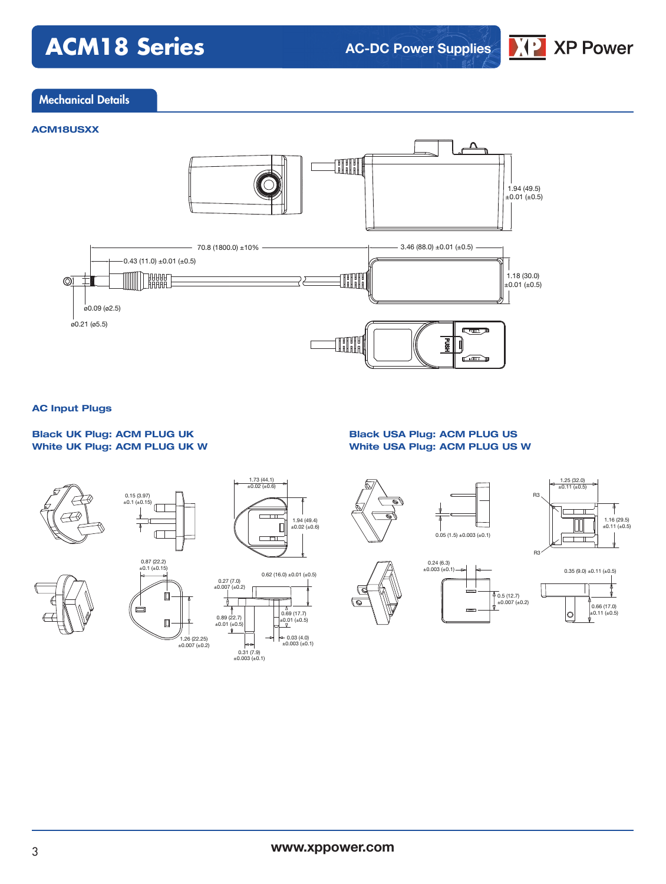# **ACM18 Series**

**AC-DC Power Supplies**



## Mechanical Details

### **ACM18USXX**



### **AC Input Plugs**

### **Black UK Plug: ACM PLUG UK White UK Plug: ACM PLUG UK W**

### **Black USA Plug: ACM PLUG US White USA Plug: ACM PLUG US W**



#### $\frac{1.25}{\pm 0.11}$  (±0.5) R3 ↑  $\overline{\phantom{a}}$ 1.16 (29.5) ±0.11 (±0.5)  $0.05(1.5) \pm 0.003(\pm 0.1)$  $\overline{\phantom{0}}$ R3  $0.24(6.3)$ <br>±0.003 (±0.1)  $0.35 (9.0) \pm 0.11 (\pm 0.5)$ 0.5 (12.7) ±0.007 (±0.2) ൳

0.66 (17.0) ±0.11 (±0.5)

 $\circ$